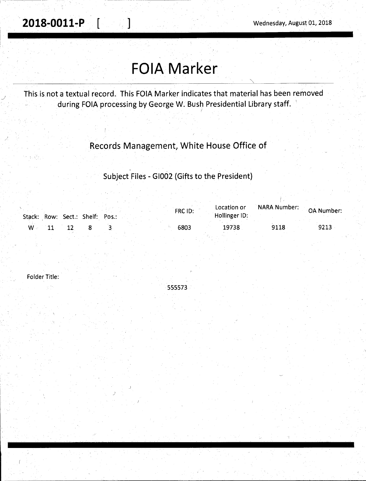. **2018-0011-P** [ ] Wednesday, August 01, 2018

# **FOIA Marker**

This is not a textual record. This FOIA Marker indicates that material has been removed during FOIA processing by George W. Bush Presidential Library staff. '

### Records Management, White House Office of

Subject Files - GI002 (Gifts to the President)

|                |  | Stack: Row: Sect.: Shelf: Pos.: |  | FRC ID: | Location or<br>Hollinger ID: | NARA Number: OA Number |      |
|----------------|--|---------------------------------|--|---------|------------------------------|------------------------|------|
| $\mathsf{W}$ . |  |                                 |  | 6803    | 19738                        | 9118                   | 9213 |

Folder Title:

555573

)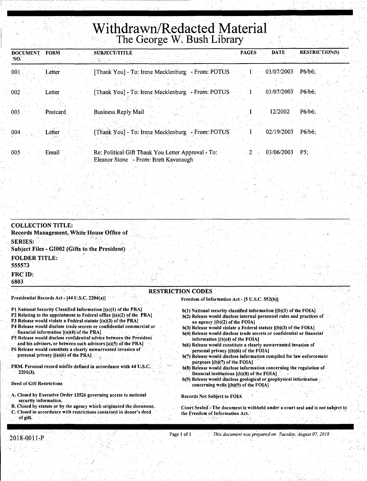# Withdrawn/Redacted Material **• The George W. Bush Library**

| <b>DOCUMENT</b><br>NO. | <b>FORM</b> | <b>SUBJECT/TITLE</b>                                                                        | <b>PAGES</b> | <b>DATE</b>           | <b>RESTRICTION(S)</b> |
|------------------------|-------------|---------------------------------------------------------------------------------------------|--------------|-----------------------|-----------------------|
| 001                    | Letter      | - From: POTUS<br>[Thank You] - To: Irene Mecklenburg]                                       |              | 03/07/2003            | $P6/b6$ ;             |
| 002                    | Letter.     | - From: POTUS<br>[Thank You] - To: Irene Mecklenburg                                        |              | 03/07/2003            | $P6/b6$ :             |
| 003                    | Postcard    | <b>Business Reply Mail</b>                                                                  |              | 12/2002               | $P6/b6$ ;             |
| 004                    | Letter      | [Thank You] - To: Irene Mecklenburg<br>- From: POTUS                                        |              | 02/19/2003            | $P6/b6$ :             |
| 005                    | Email       | Re: Political Gift Thank You Letter Approval - To:<br>Eleanor Stone - From: Brett Kavanaugh |              | $2 \times 03/06/2003$ | P5:                   |

| <b>COLLECTION TITLE:</b><br>Records Management, White House Office of                                                                   |                                                                                                                                                 |
|-----------------------------------------------------------------------------------------------------------------------------------------|-------------------------------------------------------------------------------------------------------------------------------------------------|
| <b>SERIES:</b><br><b>Subject Files - GI002 (Gifts to the President)</b>                                                                 |                                                                                                                                                 |
| <b>FOLDER TITLE:</b><br>555573                                                                                                          |                                                                                                                                                 |
| <b>FRC ID:</b><br>6803                                                                                                                  |                                                                                                                                                 |
|                                                                                                                                         | <b>RESTRICTION CODES</b>                                                                                                                        |
| Presidential Records Act - [44 U.S.C. 2204(a)]                                                                                          | Freedom of Information Act - [5 U.S.C. 552(b)]                                                                                                  |
| P1 National Security Classified Information [(a)(1) of the PRA]<br>P2 Relating to the appointment to Federal office ((a)(2) of the PRA] | $b(1)$ National security classified information $I(b)(1)$ of the FOIA.<br>b(2) Release would disclose internal personnel rules and practices of |

- 
- P3 Release would violate a Federal statute [(a)(3) of the PRA]
- P4 Release would disclose trade secrets or confidential commercial or financial information  $[(a)(4)$  of the PRA]
- P5 Release would disclose confidential advice between the President and his advisors, or betWeen such advisors [3)(5) of the PRA)
- P6 Release would constitute a clearly unwarranted invasion of personal privacy  $[(a)(6)$  of the PRA]
- PRM. Personal record misfile defined in accordance with 44 U.S.C. 2201(3).

#### Deed of Gift Restrictions

''

- A. Closed by Executive Order 13526 governing access to national security information.
- B. Closed by statute or by the agency which originated the document. C. Closed in accordance with restrictions contained in donor's deed of gift.

I /

- b(2) Release would disclose internal personnel rules and practices of an agency [(b)(2) of the FOIA)
- b(3) Release would violate a Federal statute  $[(b)(3)$  of the FOIA]
- b(4) Release would disclose trade secrets or confidential or financial information  $[(b)(4)$  of the FOIA]
- b(6) Release would constitute a clearly unwarranted invasion of personal privacy  $[(b)(6)$  of the FOIA]
- b(7) Release would disclose information compiled for law enforcement purposes  $[(b)(7)]$  of the FOIA]
- b(8) Release would disclose information concerning the regulation of financial institutions  $[(b)(8)$  of the FOIA]
- b(9) Release would disclose geological or geophysical information concerning wells  $[(b)(9)$  of the FOIA]

#### Records Not Subject to FOIA

Court Sealed'-The document is withheld under a court seal and is not subject to the Freedom of Information Act.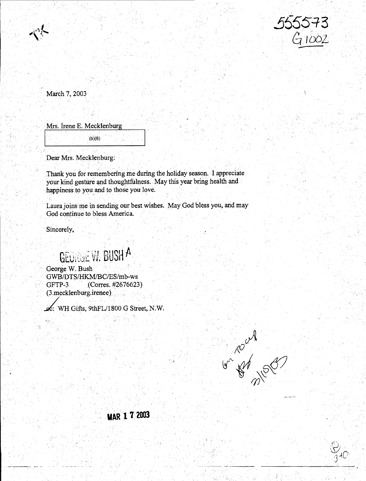

March 7, 2003

Mrs. Irene E. Mecklenburg<br>
<sub>(b)(6)</sub>

Dear Mrs. Mecklenburg:

Thank you for remembering me during the holiday season. I appreciate your kind gesture and thoughtfulness. May this year bring health and happiness to you.and to those you love.

Laura joins me ih sending our best wishes. May God bless you, and may God continue to bless America.

Sincerely.

# GEORGE W. BUSH A

George W. Bush GWB/DTS/HKM/BC/ES/mb-ws GFTP-3 (Corres. #2676623) (3.mecklenburg.irenee)

 $\mathcal{L}$ : WH Gifts, 9thFL/1800 G Street, N.W.



 $\cdot$  -becomes  $\cdot$  .

# **MAR l 7 2003**

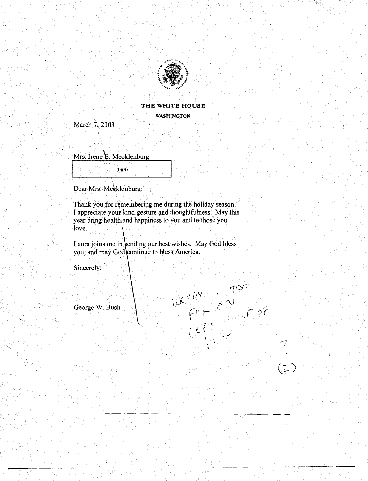

#### **THE WHITE HOUSE**  WASHINGTON,

March 7, 2003

' '.

Mrs. Irene  $E$ . Mecklenburg

(b)(6)

Dear Mrs. Mecklenburg:

Thank you for remembering me during the holiday season. I appreciate your kind gesture and thoughtfulness. May this year bring health and happiness to you and to those you love. The signification of the construction of the second  $\mathbf{loc}$ 

Laura joins me in tending our best wishes. May God bless you, and may God continue to bless America.

 $w^{02}$  on too

Sincerely,

George W. Bush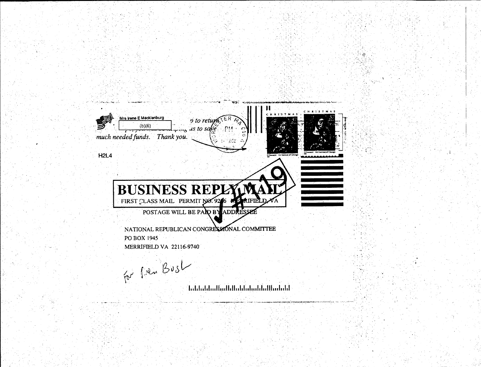

aljevi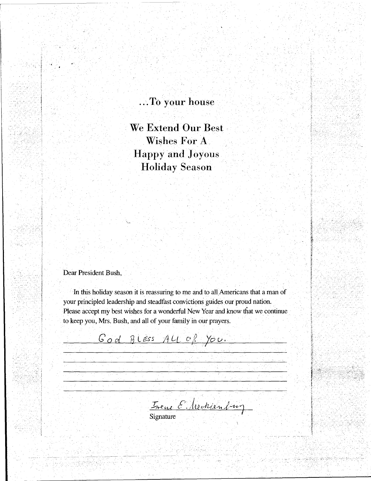### . .. **To your house**

We Extend Our Best **Wishes For A Happy and Joyous Holiday Season** 

Dear President Bush,

16gb, 422 Andre

, .

In this holiday season it is reassuring to me and to all Americans that a man of your principled leadership and steadfast convictions guides our proud nation. Please accept my best wishes for a wonderful New Year and know that we continue to keep you, Mrs. Bush, and all of your family in our prayers.

B Less *You.*  I

Treve E. Meckenburg

والأستاذ والمراجي ويباري

Signature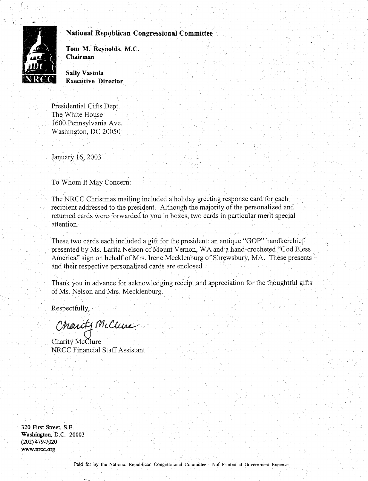

National Republican Congressional Committee

Tom M. Reynolds, M.C. Chairman

Sally Vastola Executive Director

Presidential Gifts Dept. The White House 1600 Pennsylvania Ave. Washington, DC 20050

January  $16, 2003$ 

To Whom It May Concern:

The NRCC Christmas mailing included a holiday greeting response card for each recipient addressed to the president. Although the majority of the personalized and returned cards were forwarded to you in boxes, two cards in particular merit special attention.

These two cards each included a gift for the president: an antique "GOP" handkerchief presented by Ms. Larita Nelson of Mount Vernon, WA and a hand-crocheted "God Bless America" sign on behalf of Mrs. Irene Mecklenburg of Shrewsbury, MA. These presents and their respective personalized cards 'are enclosed.

Thank you in advance for acknowledging receipt and appreciation for the thoughtful gifts of Ms. Nelson and Mrs. Mecklenburg.

Respectfully,

Charity McClure

Charity McClure NRCC Financial Staff Assistant

320 First Street, S.E. Washington, D.C. 20003 (202) 479-7020 www.nrcc.org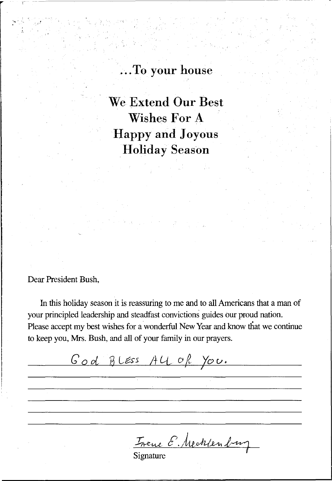## ... **To your house**

**We Extend Our Best Wishes For A Happy and Joyous Holiday Season** 

#### Dear President Bush,

In this holiday season it is reassuring to me and to all Americans that a man of your principled leadership and steadfast convictions guides our proud nation. Please accept my best wishes for a wonderful New Year and know that we continue to keep you, Mrs. Bush, and all of your family in our prayers.

God BLESS ALL of You. Trene E. Mecklenburg

Signature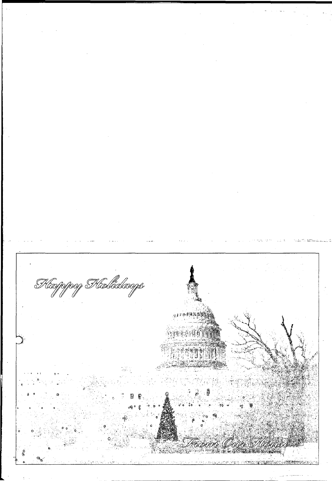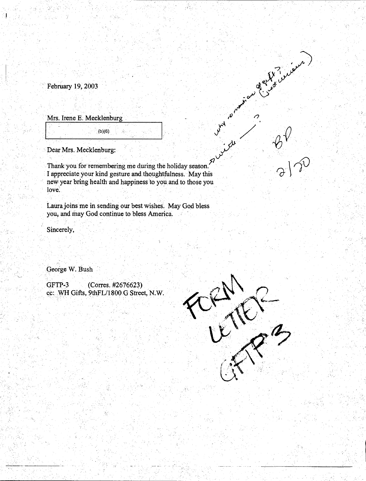February 19, 2003

ly<br>A

Mrs. Irene E. Mecklenburg

·~'--,---,--~~~~(b\_)(\_6)\_ .. -.-~~~~--''

 $(b)(6)$ 

 $Dear Mrs. Mecklenburg:$ <br>
Thank you for remembering me during  $\begin{pmatrix} 1 & 0 & 0 \\ 0 & 0 & 0 \\ 0 & 0 & 0 \\ 0 & 0 & 0 \\ 0 & 0 & 0 \\ 0 & 0 & 0 \\ 0 & 0 & 0 \\ 0 & 0 & 0 \\ 0 & 0 & 0 \\ 0 & 0 & 0 \\ 0 & 0 & 0 \\ 0 & 0 & 0 \\ 0 & 0 & 0 \\ 0 & 0 & 0 \\ 0 & 0 & 0 \\ 0 & 0 & 0 \\ 0 & 0 & 0 \\ 0 & 0 & 0 \\ 0 &$ Thank you for remembering me during the holiday season. l appreciate your kind gesture and.thoughtfulness. May this new year bring health and happiness to you and to those you .<br>love:

ý.

Laura joins me in sending our best wishes. May God bless you; and may God continue to bless America.

Sincerely,

George W. Bush

GFTP-3 (Corres. #2676623) cc: WH Gifts, 9thFL/1800 G Street, N.W.

 $\stackrel{\sim}{\sim}$ 



See White Company

 $\frac{\partial V}{\partial x^2}$